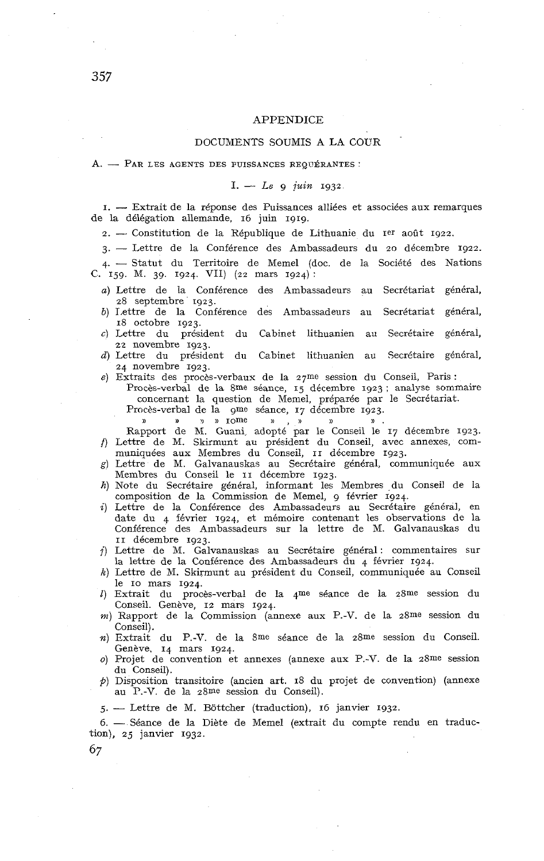# APPENDICE

# DOCUMENTS SOUMIS **A** LA COCR

A. - PAR LES AGENTS DES PUISSANCES REQUÉRANTES :

## $I. - Le$  *q juin* 1932

I. - Extrait de la réponse des Puissances alliées et associées aux remarques de la délégation allemande, 16 juin 1919.

 $2.$  -- Constitution de la République de Lithuanie du Ier août 1922.

3. - Lettre de la Conférence des Ambassadeurs du 20 décembre 1922.

4. - Statut du Territoire de Memel (doc. de la Société des Nations C. 159. M. 39. 1924. VII) (22 mars 1924):

- **a)** Lettre de la Conférence des Ambassadeurs au Secrétariat général, 28 septembre 1923.
- b) 1,ettre de la Conférence des Ambassadeurs au Secrétariat général, 18 octobre 1923.
- **C)** Lettre du président du Cabinet lithuanien au Secrétaire général, 22 novembre 1923.
- d) Lettre du président du Cabinet lithuanien au Secrétaire général, 24 novembre 1923.
- *e)* Extraits des procès-verbaux de la 27me session du Conseil, Paris : Procès-verbal de la 8me séance, 15 décembre 1923 ; analyse sommaire

concernant la question de Memel, préparée par le Secrétariat.

Procès-verbal de la gme séance, 17 décembre 1923.

)) **N 1** )) ~ome a , )) )) **)I** . Rapport de M. Guani, adopté par le Conseil le 17 décembre 1923. f) Lettre de M. Skirmunt au président du Conseil, avec annexes, com-muniquées aux Membres du Conseil, II décembre 1923.

- g) Lettre de M. Galvanauskas au Secrétaire général, communiquée aux Membres du Conseil le II décembre 1923.
- h) Note du Secrétaire général, informant les Membres du Conseil de la composition de la Commission de Memel, g février 1924.
- **i)** Lettre de la Conférence des Ambassadeurs au Secrétaire général, en date du 4 février 1924, et mémoire contenant les observations de la Conférence des Ambassadeurs sur la lettre de M. Galvanauskas du
- II décembre 1923. j) Lettre de M. Galvanauskas au Secrétaire général : commentaires sur la lettre de la Conférence des Ambassadenrs du 4 février 1924.
- k) Lettre de M. Skirmunt au président du Conseil, communiquée au Conseil le IO mars 1924.
- **Z)** Extrait du procès-verbal de la 4me seance de la z8me session du Conseil. Genève, 12 mars 1924.
- **m)** Rapport de la Commission (annexe aux P.-V. de la 28me session du Conseil).
- **n)** Extrait du P.-V. de la 8me séance de la 28me session du Conseil. Genève, 14 mars 1924.
- **O)** Projet de convention et annexes (annexe aux P.-V. de la z8me session du Conseil).
- *p)* Disposition transitoire (ancien art. 18 du projet de convention) (annexe au P.-V. de la z8me session du Conseil).

5. - Lettre de M. Bottcher (traduction), 16 janvier 1932.

6. - Séance de la Diète de Memel (extrait du compte rendu en traduction), 25 janvier 1932.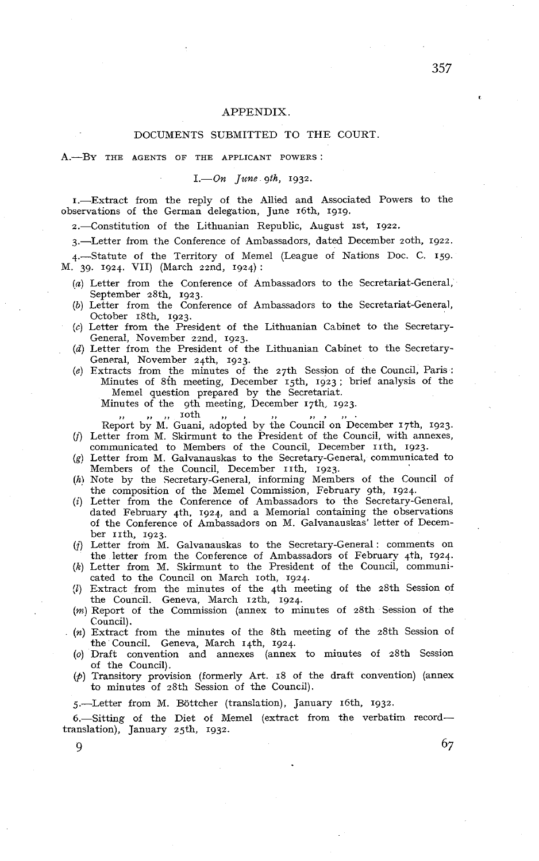## APPENDIX.

# DOCUMENTS SUBMITTED TO THE COURT.

A.-BY THE AGENTS OF THE APPLICANT POWERS:

 $I.$   $On$   $June$   $gth$ ,  $1932$ .

1.-Extract from the reply of the Allied and Associated Powers to the observations of the German delegation, June 16th, 1919.

2.-Constitution of the Lithuanian Republic, August 1st, 1922.

3.-Letter from the Conference of Ambassadors, dated December 20th. 1922.

4.-Statute of the Territory of Memel (League of Nations Doc. C. 159. M. 39. 1924. VII) (March 22nd, 1924):

- *(a)* Letter from the Conference of Ambassadors to the Secretariat-General, September 28th, 1923.
- (b) Letter from the Conference of Ambassadors to the Secretariat-General, October 18th, 1923.
- (c) Letter from the President of the Lithuanian Cabinet to the Secretary-General, November 22nd, 1923.
- (d) Letter from the President of the Lithuanian Cabinet to the Secretary-General, November 24th, 1923.
- *(e)* Extracts from the minutes of the 27th Session of the Council, Paris : Minutes of 8th meeting, December 15th, 1923; brief analysis of the Memel question prepared by the Secretariat. Minutes of the 9th meeting, December 17th, 1923.<br> $\ldots$   $\ldots$  in the  $\ldots$ 
	- Report by M. Guani, adopted by the Council on December 17th, 1923.
- **(1)** Letter from M. Skirmunt to the President of the Council, with annexes, communicated to Members of the Council, December 11th, 1923.
- (g) Letter from M. Galvanauskas to the Secretary-General, communicated to Members of the Council, December 11th, 1923.
- (h) Note by the Secretary-General, informing Members of the Council of the composition of the Memel Commission, February gth, 1924.
- **(i)** Letter from the Conference of Ambassadors to the Secretary-General, dated February 4th. 1924, and a Memorial containing the observations of the Conference of Ambassadors on M. Galvanauskas' letter of Decem $ber$   $I$ ith,  $1923$ .
- (j) Letter from M. Galvanauskas to the Secretary-General: comments on the letter from the Conference of Ambassadors of February 4th, 1924.
- $(k)$  Letter from M. Skirmunt to the President of the Council, communicated to the Council on March roth, 1924.
- (1) Extract from the minutes of the 4th meeting of the 28th Session of the Council. Geneva, March 12th, 1924.
- (m) Report of the Commission (annex to minutes of 28th Session of the
- Council) . **(n)** Extract from the minutes of the 8th meeting of the 28th Session of the Council. Geneva, March 14th, 1924.
- **(O)** Draft convention and annexes (annex to minutes of 28th Scssion of the Council).
- *(p)* Transitory provision (formerly Art. 18 of the draft convention) (annex to minutes of 28th Session of the Council).

5.-Letter from M. Böttcher (translation), January 16th, 1932.

6.-Sitting of the Diet of Memel (extract from the verbatim recordtranslation), January 25th, 1932.

357

9  $\sigma$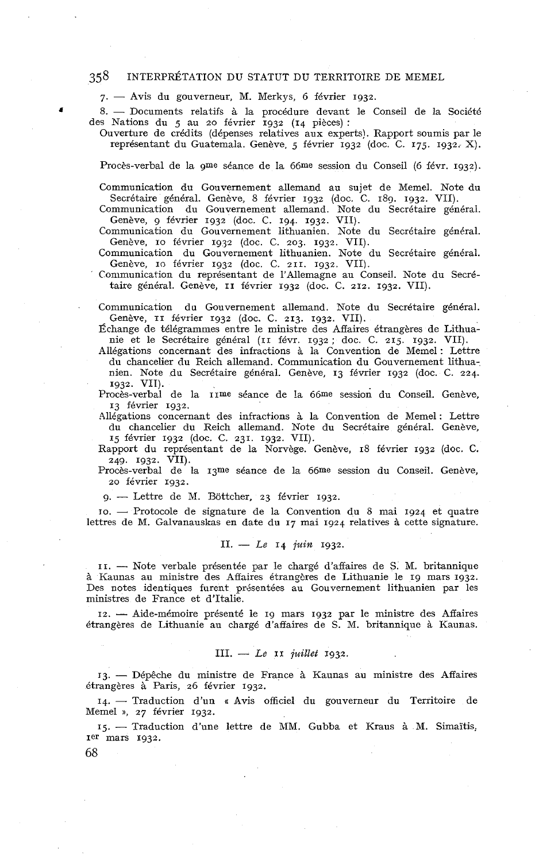# *358* INTERPRÉTATION DU STATUT DU TERRITOIRE DE MEMEL

 $7.$  - Avis du gouverneur, M. Merkys, 6 février 1932.

8. - Documents relatifs à la procédure devant le Conseil de la Société des Nations du 5 au 20 février 1932 (14 piéces) :

Ouverture de crédits (dépenses relatives aux experts). Rapport soumis par le représentant du Guatemala. Genève, 5 février 1932 (doc. C. 175. 1932. X).

Procès-verbal de la gme séance de la 66me session du Conseil (6 iévr. 1932).

Communication du Gouvernement allemand au sujet de Memel. Note du Secrétaire général. Genève, 8 février 1932 (doc. C. 189. 1932, VII).

Communication du Gouvernement allemand. Note du Secrétaire général. Genève, g février 1932 (doc. C. 194. 1932. VII).

Communication du Gouvernement lithuanien. Note du Secrétaire général. Genève, IO février 1932 (doc. C. 203. 1932. VII).

Communication du Gouvernement lithuanien. Note du Secrétaire général. Genève, IO février 1932 (doc. C. 211. 1932. VII).

Communication du représentant de 1'Allemagne au Conseil. Note du Secrétaire général. Genève, II février 1932 (doc. C. 212. 1932. VII).

Communication du Gouvernement allemand. Note du Secrétaire général. Genève, 11 février 1932 (doc. C. 213. 1932. VII).

Échange de télégrammes entre le ministre des Affaires étrangères de Lithuanie et le Secrétaire général (II févr. 1932 ; doc. C. 215. 1932. VII).

Ailégations concernant des infractions à la Convention de Memel : Lettre du chancelier du Reich allemand. Communication du Gouvernement lithuanien. Note du Secrétaire général. Genève, 13 février 1932 (doc. C. 224. 1932. VII).

Procès-verbal de la IIme séance de !a 66me session du Conseil. Genève, 13 février 1932.

Allégations concernant des infractions à la Convention de Memel : Lettre du chancelier du Reich allemand. Note du Secrétaire général. Genève, 15 février 1932 (doc. C. 231. 1932. VII).

Rapport du représentant de la Norvège. Genève, 18 février 1932 (doc. C. 249. 1932. VII).

Procès-verbal de la 13me séance de la 66me session du Conseil. Genève, 20 février 1932.<br>9. — Lettre de M. Böttcher, 23 février 1932. 20 février 1932.

9. -- Lettre de M. Böttcher, 23 février 1932.<br>10. -- Protocole de signature de la Convention du 8 mai 1924 et quatre lettres de M. Galvanauskas en date du 17 mai 1924 relatives à cette signature.

## II. - Le 14 *juin* 1932.

II. - Note verbale présentée par le chargé d'affaires de S. M. britannique à Kaunas au ministre des Affaires étrangères de Lithuanie le 19 mars 1932. Des notes identiques furent présentées au Gouvernement lithuanien par les ministres de France et d'Italie.

12. - Aide-mémoire présenté le 19 mars 1932 par le ministre des Affaires étrangères de Lithuanie au chargé d'affaires de S. M. britannique à Kaunas.

# $III. - Le II$  *juillet*  $1932.$

13. - Dépêche du ministre de France à Kaunas au ministre des Affaires étrangères à Paris, 26 février 1932.

14. - Traduction d'un u Avis officiel du gouverneur du Territoire de Memel **D,** 27 février 1932.

15. - Traduction d'une lettre de MM. Gubba et Kraus à M. Simaïtis, Ier mars 1932.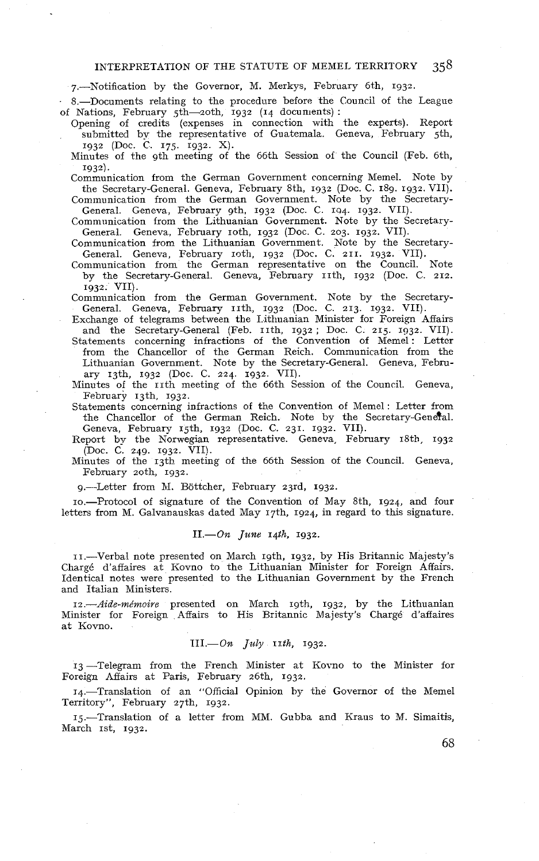#### INTERPRETATION OF THE STATUTE OF MEMEL TERRITORY 358

7.-Notification by the Governor, M. Merkys, February 6th, 1932.

8.-Documents relating to the procedure before the Council of the League of Nations, February 5th-zoth, 1932 (14 documents):

Opening of credits (expenses in connection with the experts). Report submitted by the representative of Guatemala. Geneva, February jth, 1932 (Doc. C. 175, 1932. X).

Minutes of the 9th meeting of the 66th Session of the Council (Feb. 6th,

1932). Communication from the German Government concerning Memel. Note by the Secretary-General. Geneva, February 8th, 1932 (Doc. C. 189. 1932. VII).

Communication from the German Government. Note by the Secretary-General. Geneva, February 9th. 1932 (Doc. C. 194. 1932. VII).

Communication from the Lithuanian Government. Note by the Secretary-General. Geneva, February 10th, 1932 (Doc. C. 203. 1932. VII).

Communication from the Lithuanian Government. Note by the Secretary-General. Geneva, February 1oth, 1932 (Doc. C. 211. 1932. VII).

Communication from the German representative on the Council. Note by the Secretary-General. Geneva, February th, 1932 (Doc. C. 212. 1932. VII).

Communication from the German Government. Note by the Secretary-General. Geneva, February 11th, 1932 (Doc. C. 213. 1932. VII).

Exchange of telegrams between the Lithuanian Minister for Foreign Affairs Exchange of telegranis between the Extritational Minister for Poteign Analis and the Secretary-General (Feb. 11th, 1932; Doc. C. 215. 1932. VII).<br>Statements concerning infractions of the Convention of Memel: Letter

from the Chancellor of the German Reich. Communication from the Lithuanian Government. Note by the Secretary-General. Geneva, February 13th, 1932 (Doc. C. 224. 1932. VII).

Minutes of the 11th meeting of the 66th Session of the Council. Geneva, February 13th, 1932:

Statements concerning infractions of the Convention of Memel : Letter from the Chancellor of the German Reich. Note by the Secretary-Genetal. Geneva, February rjth, 1932 (Doc. C. 231. 1932. VII).

Report **by** the Nonvegian representative. Geneva, February 18th. 1932 (Doc. C. 249. 1932. VII).

Minutes of the 13th meeting of the 66th Session of the Council. Geneva, February zoth, 1932.

9.--Letter from M. Böttcher, February 23rd, 1932.

IO.-Protocol of signature of the Convention of May 8th, 1924, and four letters from M. Galvanauskas dated May 17th, 1924, in regard to this signature.

# $II. - On$  June 14th, 1932.

II.-Verbal note presented on March 19th, 1932, by His Britannic Majesty's Chargé d'affaires at Kovno to the Lithuanian Minister for Foreign Affairs. Identical notes were presented to the Lithuanian Government by the French and Italian Ministers.

12.-Aide-mémoire presented on March 19th, 1932, by the Lithuanian Minister for Foreign AEairs to His Rritannic Majesty's Chargé d'affaires at Kovno.

# $III. - On$  *July IIth*, 1932.

13 -Telegram from the French Minister at Kovno to the hfinister for Foreign Affairs at Paris, February 26th, 1932.

14.-Translation of an "Official Opinion by the Governor of the Memel Territory", February z7th, 1932.

15.-Translation of a letter from MM. Gubba and Kraus to M. Simaitis, March 1st, 1932.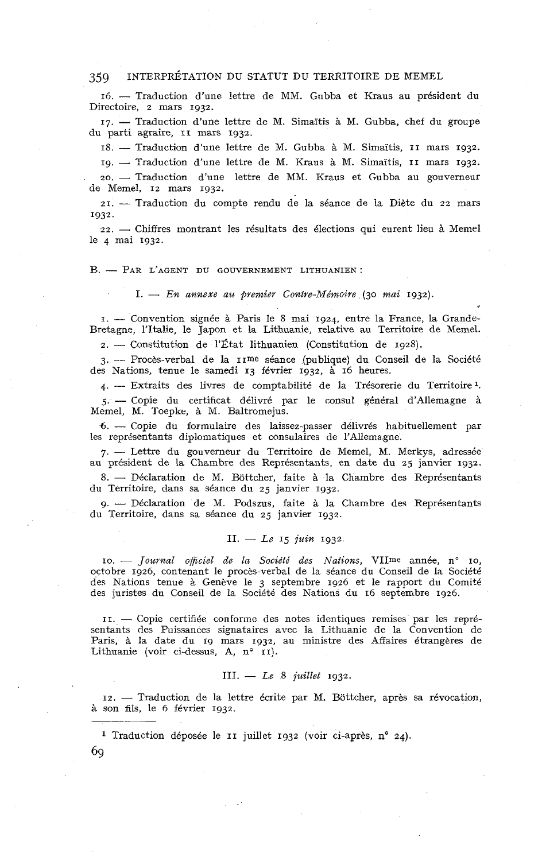**16.** - Traduction d'une lettre de MM. Giibba et Kraus au président du Directoire, **2** mars **1932.** 

17. - Traduction d'une lettre de M. Simaïtis à M. Gubba, chef du groupe du parti agraire, **II** mars **1932.**  17. — Traduction d'une lettre de M. Simaïtis à M. Gubba, chef du groupe<br>parti agraire, 11 mars 1932.<br>18. — Traduction d'une lettre de M. Gubba à M. Simaïtis, 11 mars 1932.

**19.** - Traduction d'une lettre de M. Kraus à M. Simaïtis, **II** mars **1932.**  *19.* -- Traduction d'une lettre de M. Kraus à M. Simaïtis, 11 mars 1932.<br>20. -- Traduction d'une lettre de MM. Kraus et Gubba au gouverneur

de Memel, **12** mars **1932.** 

**21.** - Traduction du compte rendu de la séance de la Diète du **22** mars **1932.** 

**22.** - Chiffres montrant les résultats des élections qui eurent lieu à Memel le 4 mai **1932.** 

## B. - PAR L'AGENT DU GOUVERNEMENT LITHUANIEN :

1. -- *En annexe au premier Contre-Mémoire (30 mai* **1932).** 

**1.** - Convention signée à Paris le **8** mai **1924.** entre la France, la Grande-Bretagne, l'Italie, le Japon et la Lithuanie, relative au Territoire de Memd. **2.** - Constitution de l'État lithuanien (Constitution de **1928).** 

**3.** -- Procès-verbal de la **IIme** séance .(publique) du Conseil de la Société 4. - Extraits des livres de comptabilité de la Trésorerie du Territoirel. des Nations, tenue le samedi **13** février **1932,** à **16** heures.

4. — Extraits des livres de comptabilité de la Trésorerie du Territoire<sup>1</sup>.<br>5. — Copie du certificat délivré par le consul général d'Allemagne à Memel, M. Toepke, à M. Baltromejus.

6. - Copie du formulaire des laissez-passer délivrés habituellement par les représentants diplomatiques et consulaires de l'Allemagne.

**7.** - Lettre du gouverneur du Territoire de Memel, M. Merkys, adressée 7. -- Lettre du gouverneur du Territoire de Memel, M. Merkys, adressée<br>
au président de la Chambre des Représentants, en date du 25 janvier 1932.<br>
8. -- Déclaration de M. Böttcher, faite à la Chambre des Représentants<br>
<sup>8.</sup>

du Territoire, dans sa séance du **25** janvier **1932.**  8. — Déclaration de M. Böttcher, faite à la Chambre des Représentants<br>1 Territoire, dans sa séance du 25 janvier 1932.<br>9. — Déclaration de M. Podszus, faite à la Chambre des Représentants

du Territoire, dans sa séance du **25** janvier **1932.** 

# $II. - Le$   $I_6$  *juin*  $I_{932}$ .

*IO.* - *Journal oficiel de ln Société des .Nations,* VIIme année, no IO, octobre **1926,** contenant le procès-verbal de la séance du Conseil de la Société des Nations tenue à Genève le 3 septembre 1926 et le rapport du Comité des juristes du Conseil de la Société des Nations du **16** septembre **1926.** 

**II.** - Copie certifiée conforme des notes identiques remises par les représentants des Puissances signataires avec la Lithuanie de la Convention de sentants des Puissances signataires avec la Lithuanie de la Convention de Paris, à la date du 19 mars 1932, au ministre des Affaires étrangères de Lithuanie (voir ci-dessus, A, n° 11).<br>
III. — Le 8 juillet 1932.<br>
12. — Tra Lithuanie (voir ci-dessus, A, n° II).

# III. - *L.e* 8 *juillet* **1932.**

**12.** - Traduction de la lettre écrite par M. Bottcher, après sa révocation, à son fils, le **6** février **1932.** 

**<sup>1</sup>**Traduction déposée le **II** juillet **1932** (voir ci-après, **no 24).**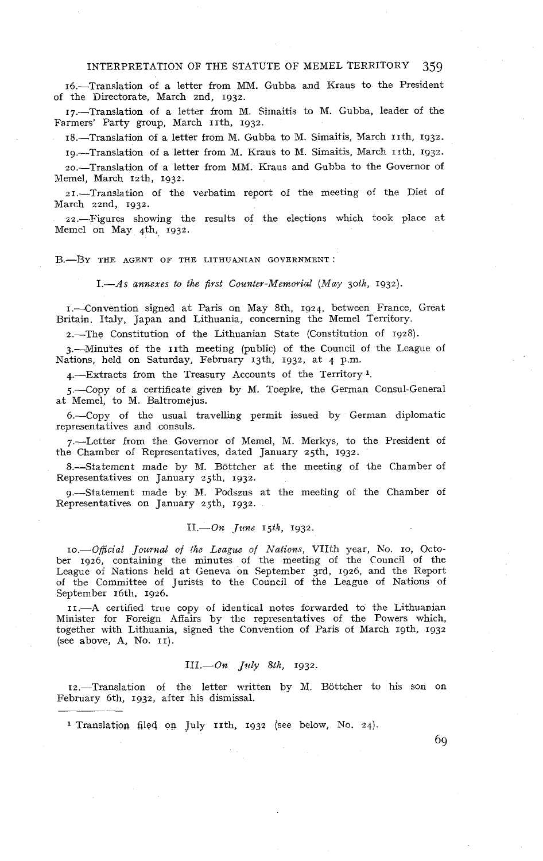# INTERPRETATION OF THE STATUTE OF MEMEL TERRITORY 359

16.-Transiation of a letter from MM. Gubba and Kraus to the President of the Directorate, March 2nd, 1932.

17.-Translation of a letter from M. Simaitis to M. Gubba, leader of the Farmers' Party group, March 11th, 1932.

18.-Translation of a letter from M. Gubba to M. Simaitis, March 11th, 1932.

19.-Translation of a letter from M. Kraus to M. Simaitis, March 11th, 1932.

2o.Translation of a letter from MM. Kraus and Gubba to the Governor of Memel, March 12th, 1932.

21.-Translation of the verbatim report of the meeting of the Diet of March 22nd, 1932.

22.-.Figures showing the results of the elections which took place at Memel on May 4th, 1932.

#### B.-BY THE AGENT OF THE LITHUANIAN GOVERNMENT:

 $1. - As$  annexes to the first Counter-Memorial (May 30th, 1932).

1.--Convention signed at Paris on May 8th, 1924, between France, Great Britain. Italy, Japan and Lithuania, concerning the Memel Territory.

2.-The Constitution of the Lithuanian State (Constitution of 1928).

3.-Minutes of the 11th meeting (public) of the Council of the League of Nations, held on Saturday, February 13th, 1932, at 4 p.m.

4.-Extracts from the Treasury Accounts of the Territory<sup>1</sup>.

5.-Copy of a certificate given by M. Toepke, the German Consul-General at Memel, to M. Baltromejus.

6.-Copy of the usual travelling permit issued by German diplomatic representatives and consuls.

7.-Lctter from the Governor of Memel, M. Merkys, to the President of the Chamber of Representatives, dated January 25th, 1932.

8.-Statement made by M. Bottcher at the meeting of the Chamber of Representatives on January 25th, 1932.

9.-Statement made by M. Podszns at the meeting of the Chamber of Representatives on January 25th, 1932.

# $II. -On$  June 15th, 1932.

IO.-Oficial Journal of fhe League of Nations, VIIth year, h'o. IO, October 1926, containing the minutes of the meeting of the Council of the League of Nations held at Geneva on September 3rd, 1926, and the Report of the Committee of Jurists to the Council of the League of Nations of September 16th. 1926.

II.-A certified true copy of identical notes forwarded to the Lithuanian Minister for Foreign Affairs by the representatives of the Powers which, together with Lithuania, signed the Convention of Paris of March 19th, 1932 (see above, **A,** No. II).

# $III. - On$  *July 8th*, 1932.

12.--Translation of the letter written by M. Bottcher to his son on February 6th, 1932, after his dismissal.

**1** Translation filed on July 11th. 1932 (see below, No. 24).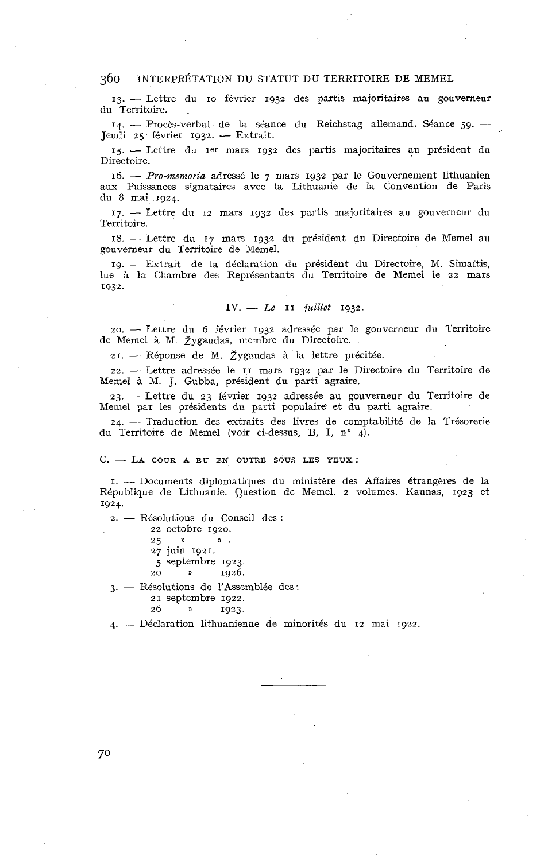360 INTERPRÉTATION DU STATUT DU TERRITOIRE DE MEMEL<br>
13. — Lettre du 10 février 1932 des partis majoritaires au gouverneur du Territoire. 13. — Lettre du 10 février 1932 des partis majoritaires au gouverneur<br>- Territoire.<br>14. — Procès-verbal de la séance du Reichstag allemand. Séance 59. — .<br>udi 45 février 1933 — Extrait

du Territoire.<br>14. — Procès-verbal de la séan<br>Jeudi 25 février 1932. — Extrait. **15.** -- Lettre du **Ier** mars **1932** des partis majoritaires au président du

Directoire.

**16.** - *Pro-msmovia* adressé le *7* mars **1932** par le Gonvernement lithuanien aux Piiissances signataires avec la Lithuanie de la Convention de Paris du 8 mai **1924.** 

**17.** - Lettre du **12** mars **1932** des partis majoritaires au gauverneur du Territoire.

**18.** - Lettre du **17** mars **1932** du président du Directoire de Memel au gouverneur du Territoire de Memel.

**19.** - Extrait de la déclaration du président du Directoire, M. Simaïtis, lue à la Chambre des Représentants du Territoire de Memel le 22 mars **1932.** 

## **IV.** - **Le II** *fwillet* **1932.**

20. - Lettre du **6** février **1932** adressée par le gouverneur du Territoire de Memel à M. Žygaudas, membre du Directoire.

**21.** - Réponse de M. Zygaudas à la lettre précitée.

**22.** - Lettre adressée le **II** mars **1932** par le Directoire du Territoire de Memel à M. J. Gubba, président du parti agraire.

**23.** - Lettre du **23** fkvrier **1932** adressbe au gouverneur du Territoire de 23. — Lettre du 23 février 1932 adressée au gouverneur du Territoire de<br>Memel par les présidents du parti populaire et du parti agraire.<br>24. — Traduction des extraits des livres de comptabilité de la Trésorerie

du Territoire de Memel (voir ci-dessus, B, I, n° 4).

#### $C. - LA$  COUR A EU EN OUTRE SOUS LES YEUX :

**I.** -- Documents diplomatiques du ministère des Affaires étrangères de la République de Lithuanie. Question de Memel. **2** volumes. Kaunas, **1923** et **1924.** 

**2.** - Résolutions du Conseil des :

**22** octobre **1920.** 

**<sup>25</sup>**)) » . **27** juin **1921.** 

**5** ~eptembre **1923.** 

**20** » **1926.** 

3. - Résolutions de l'Assemblée des:

**21** septembre **1922.** 

**26** » **1923.** 

4. - Déclaration lithuanienne de minorités du **12** mai **1922.**